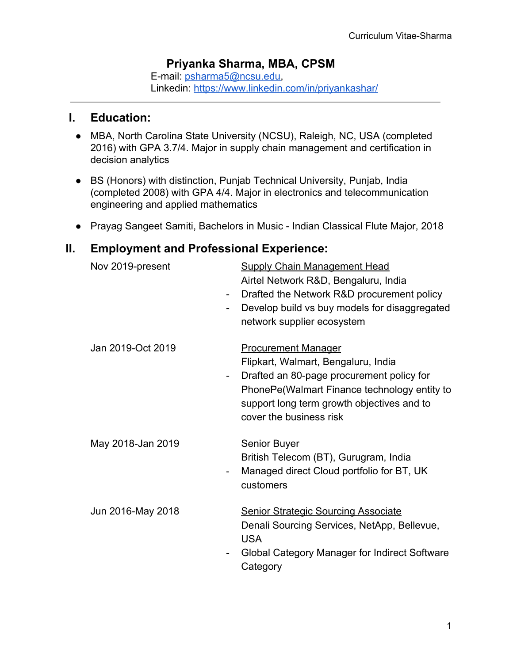## **Priyanka Sharma, MBA, CPSM**

E-mail: [psharma5@ncsu.edu,](mailto:psharma5@ncsu.edu) Linkedin:<https://www.linkedin.com/in/priyankashar/>

#### **I. Education:**

- MBA, North Carolina State University (NCSU), Raleigh, NC, USA (completed 2016) with GPA 3.7/4. Major in supply chain management and certification in decision analytics
- BS (Honors) with distinction, Punjab Technical University, Punjab, India (completed 2008) with GPA 4/4. Major in electronics and telecommunication engineering and applied mathematics
- Prayag Sangeet Samiti, Bachelors in Music Indian Classical Flute Major, 2018

# **II. Employment and Professional Experience:**

| Nov 2019-present<br>$\qquad \qquad \blacksquare$<br>$\overline{\phantom{0}}$ | <b>Supply Chain Management Head</b><br>Airtel Network R&D, Bengaluru, India<br>Drafted the Network R&D procurement policy<br>Develop build vs buy models for disaggregated<br>network supplier ecosystem                                |
|------------------------------------------------------------------------------|-----------------------------------------------------------------------------------------------------------------------------------------------------------------------------------------------------------------------------------------|
| Jan 2019-Oct 2019<br>$\qquad \qquad \blacksquare$                            | <b>Procurement Manager</b><br>Flipkart, Walmart, Bengaluru, India<br>Drafted an 80-page procurement policy for<br>PhonePe(Walmart Finance technology entity to<br>support long term growth objectives and to<br>cover the business risk |
| May 2018-Jan 2019<br>$\overline{\phantom{a}}$                                | <b>Senior Buyer</b><br>British Telecom (BT), Gurugram, India<br>Managed direct Cloud portfolio for BT, UK<br>customers                                                                                                                  |
| Jun 2016-May 2018                                                            | <b>Senior Strategic Sourcing Associate</b><br>Denali Sourcing Services, NetApp, Bellevue,<br><b>USA</b><br>Global Category Manager for Indirect Software<br>Category                                                                    |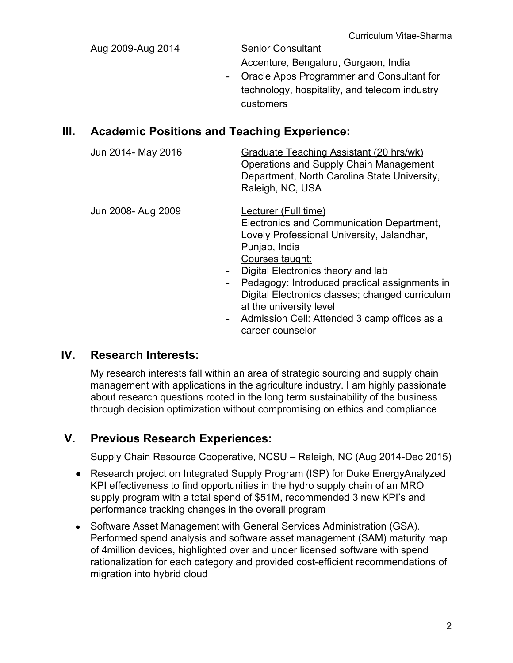| Aug 2009-Aug 2014 | <b>Senior Consultant</b>                      |
|-------------------|-----------------------------------------------|
|                   | Accenture, Bengaluru, Gurgaon, India          |
|                   | - Oracle Apps Programmer and Consultant for   |
|                   | technology, hospitality, and telecom industry |
|                   | customers                                     |
|                   |                                               |

#### **III. Academic Positions and Teaching Experience:**

| Jun 2014- May 2016                                               | Graduate Teaching Assistant (20 hrs/wk)<br>Operations and Supply Chain Management<br>Department, North Carolina State University,<br>Raleigh, NC, USA                                                                                                                                                                    |
|------------------------------------------------------------------|--------------------------------------------------------------------------------------------------------------------------------------------------------------------------------------------------------------------------------------------------------------------------------------------------------------------------|
| Jun 2008- Aug 2009<br>$\blacksquare$<br>$\overline{\phantom{0}}$ | Lecturer (Full time)<br>Electronics and Communication Department,<br>Lovely Professional University, Jalandhar,<br>Punjab, India<br>Courses taught:<br>Digital Electronics theory and lab<br>Pedagogy: Introduced practical assignments in<br>Digital Electronics classes; changed curriculum<br>at the university level |

- Admission Cell: Attended 3 camp offices as a career counselor

### **IV. Research Interests:**

My research interests fall within an area of strategic sourcing and supply chain management with applications in the agriculture industry. I am highly passionate about research questions rooted in the long term sustainability of the business through decision optimization without compromising on ethics and compliance

# **V. Previous Research Experiences:**

Supply Chain Resource Cooperative, NCSU – Raleigh, NC (Aug 2014-Dec 2015)

- Research project on Integrated Supply Program (ISP) for Duke EnergyAnalyzed KPI effectiveness to find opportunities in the hydro supply chain of an MRO supply program with a total spend of \$51M, recommended 3 new KPI's and performance tracking changes in the overall program
- Software Asset Management with General Services Administration (GSA). Performed spend analysis and software asset management (SAM) maturity map of 4million devices, highlighted over and under licensed software with spend rationalization for each category and provided cost-efficient recommendations of migration into hybrid cloud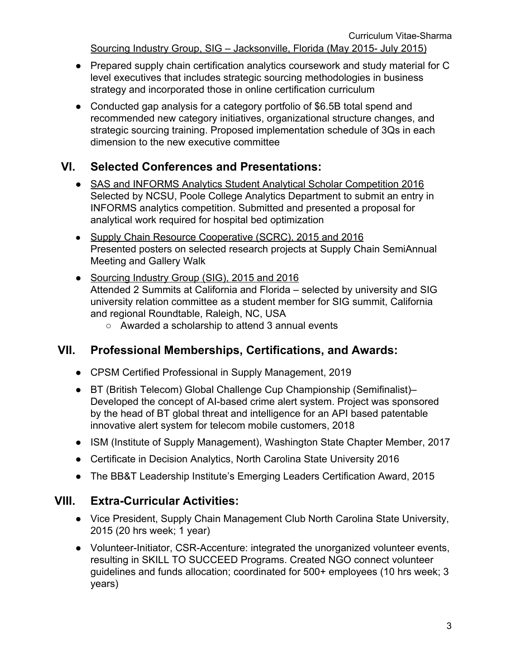Sourcing Industry Group, SIG – Jacksonville, Florida (May 2015- July 2015)

- Prepared supply chain certification analytics coursework and study material for C level executives that includes strategic sourcing methodologies in business strategy and incorporated those in online certification curriculum
- Conducted gap analysis for a category portfolio of \$6.5B total spend and recommended new category initiatives, organizational structure changes, and strategic sourcing training. Proposed implementation schedule of 3Qs in each dimension to the new executive committee

### **VI. Selected Conferences and Presentations:**

- SAS and INFORMS Analytics Student Analytical Scholar Competition 2016 Selected by NCSU, Poole College Analytics Department to submit an entry in INFORMS analytics competition. Submitted and presented a proposal for analytical work required for hospital bed optimization
- Supply Chain Resource Cooperative (SCRC), 2015 and 2016 Presented posters on selected research projects at Supply Chain SemiAnnual Meeting and Gallery Walk
- Sourcing Industry Group (SIG), 2015 and 2016 Attended 2 Summits at California and Florida – selected by university and SIG university relation committee as a student member for SIG summit, California and regional Roundtable, Raleigh, NC, USA
	- Awarded a scholarship to attend 3 annual events

### **VII. Professional Memberships, Certifications, and Awards:**

- CPSM Certified Professional in Supply Management, 2019
- BT (British Telecom) Global Challenge Cup Championship (Semifinalist)– Developed the concept of AI-based crime alert system. Project was sponsored by the head of BT global threat and intelligence for an API based patentable innovative alert system for telecom mobile customers, 2018
- ISM (Institute of Supply Management), Washington State Chapter Member, 2017
- Certificate in Decision Analytics, North Carolina State University 2016
- The BB&T Leadership Institute's Emerging Leaders Certification Award, 2015

### **VIII. Extra-Curricular Activities:**

- Vice President, Supply Chain Management Club North Carolina State University, 2015 (20 hrs week; 1 year)
- Volunteer-Initiator, CSR-Accenture: integrated the unorganized volunteer events, resulting in SKILL TO SUCCEED Programs. Created NGO connect volunteer guidelines and funds allocation; coordinated for 500+ employees (10 hrs week; 3 years)